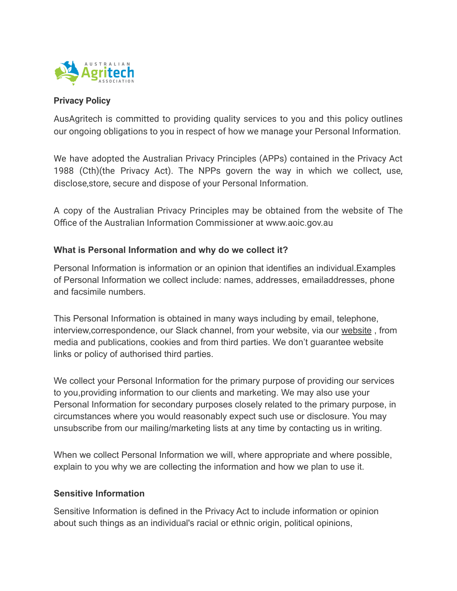

## **Privacy Policy**

AusAgritech is committed to providing quality services to you and this policy outlines our ongoing obligations to you in respect of how we manage your Personal Information.

We have adopted the Australian Privacy Principles (APPs) contained in the Privacy Act 1988 (Cth)(the Privacy Act). The NPPs govern the way in which we collect, use, disclose,store, secure and dispose of your Personal Information.

A copy of the Australian Privacy Principles may be obtained from the website of The Office of the Australian Information Commissioner at www.aoic.gov.au

# **What is Personal Information and why do we collect it?**

Personal Information is information or an opinion that identifies an individual.Examples of Personal Information we collect include: names, addresses, emailaddresses, phone and facsimile numbers.

This Personal Information is obtained in many ways including by email, telephone, interview,correspondence, our Slack channel, from your website, via our [website](https://www.ausagritech.org/) , from media and publications, cookies and from third parties. We don't guarantee website links or policy of authorised third parties.

We collect your Personal Information for the primary purpose of providing our services to you,providing information to our clients and marketing. We may also use your Personal Information for secondary purposes closely related to the primary purpose, in circumstances where you would reasonably expect such use or disclosure. You may unsubscribe from our mailing/marketing lists at any time by contacting us in writing.

When we collect Personal Information we will, where appropriate and where possible, explain to you why we are collecting the information and how we plan to use it.

## **Sensitive Information**

Sensitive Information is defined in the Privacy Act to include information or opinion about such things as an individual's racial or ethnic origin, political opinions,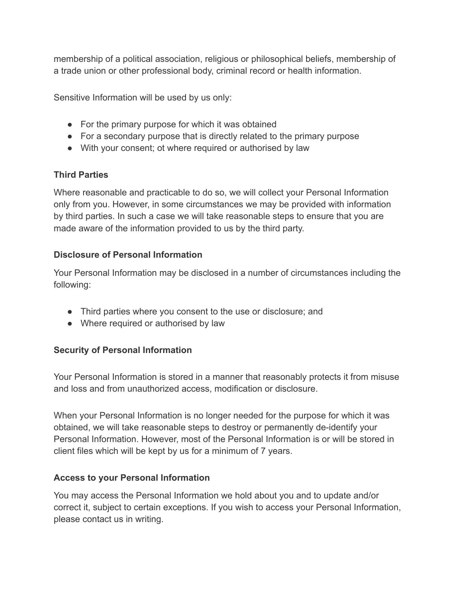membership of a political association, religious or philosophical beliefs, membership of a trade union or other professional body, criminal record or health information.

Sensitive Information will be used by us only:

- For the primary purpose for which it was obtained
- For a secondary purpose that is directly related to the primary purpose
- With your consent; ot where required or authorised by law

# **Third Parties**

Where reasonable and practicable to do so, we will collect your Personal Information only from you. However, in some circumstances we may be provided with information by third parties. In such a case we will take reasonable steps to ensure that you are made aware of the information provided to us by the third party.

# **Disclosure of Personal Information**

Your Personal Information may be disclosed in a number of circumstances including the following:

- Third parties where you consent to the use or disclosure; and
- Where required or authorised by law

# **Security of Personal Information**

Your Personal Information is stored in a manner that reasonably protects it from misuse and loss and from unauthorized access, modification or disclosure.

When your Personal Information is no longer needed for the purpose for which it was obtained, we will take reasonable steps to destroy or permanently de-identify your Personal Information. However, most of the Personal Information is or will be stored in client files which will be kept by us for a minimum of 7 years.

## **Access to your Personal Information**

You may access the Personal Information we hold about you and to update and/or correct it, subject to certain exceptions. If you wish to access your Personal Information, please contact us in writing.